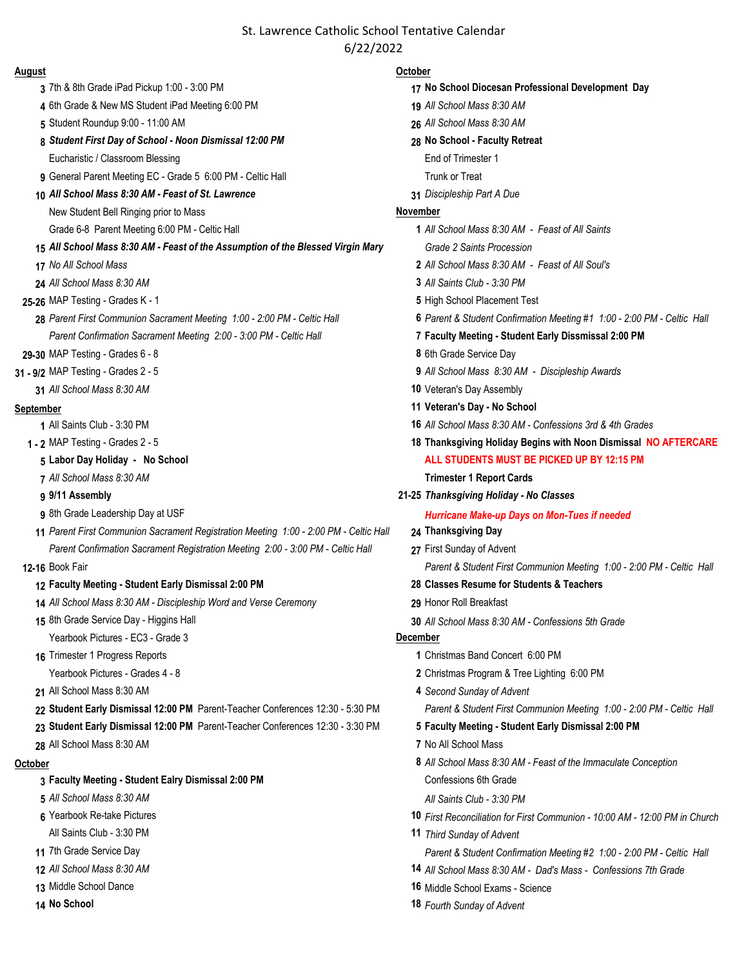# St. Lawrence Catholic School Tentative Calendar 6/22/2022

- 
- 6th Grade & New MS Student iPad Meeting 6:00 PM **19** *All School Mass 8:30 AM*
- 
- *Student First Day of School Noon Dismissal 12:00 PM* **28 No School Faculty Retreat** Eucharistic / Classroom Blessing End of Trimester 1
- General Parent Meeting EC Grade 5 6:00 PM Celtic Hall Trunk or Treat
- *All School Mass 8:30 AM Feast of St. Lawrence* **31** *Discipleship Part A Due*
	- New Student Bell Ringing prior to Mass **November November**
- *All School Mass 8:30 AM Feast of the Assumption of the Blessed Virgin Mary Grade 2 Saints Procession*
- 
- 
- 
- *Parent First Communion Sacrament Meeting 1:00 2:00 PM Celtic Hall* **6** *Parent & Student Confirmation Meeting #1 1:00 2:00 PM Celtic Hall Parent Confirmation Sacrament Meeting 2:00 - 3:00 PM - Celtic Hall* **7 Faculty Meeting - Student Early Dissmissal 2:00 PM**
- **29-30** MAP Testing Grades 6 8 **8** 6th Grade Service Day
- -

- 
- 
- 
- 

- 
- *Parent First Communion Sacrament Registration Meeting 1:00 2:00 PM Celtic Hall* **24 Thanksgiving Day** *Parent Confirmation Sacrament Registration Meeting 2:00 - 3:00 PM - Celtic Hall* **27** First Sunday of Advent
- 

### **Faculty Meeting - Student Early Dismissal 2:00 PM 28 Classes Resume for Students & Teachers**

- *All School Mass 8:30 AM Discipleship Word and Verse Ceremony* **29** Honor Roll Breakfast
- Yearbook Pictures EC3 Grade 3 **December**
- -
- 
- 22 Student Early Dismissal 12:00 PM Parent-Teacher Conferences 12:30 5:30 PM Parent & Student First Communion Meeting 1:00 2:00 PM Celtic Hall
- **Student Early Dismissal 12:00 PM** Parent-Teacher Conferences 12:30 3:30 PM **5 Faculty Meeting Student Early Dismissal 2:00 PM**
- All School Mass 8:30 AM **7** No All School Mass

- **Faculty Meeting Student Ealry Dismissal 2:00 PM** Confessions 6th Grade
- 
- 
- 
- 
- 
- 
- 

### **August October**

- 7th & 8th Grade iPad Pickup 1:00 3:00 PM **17 No School Diocesan Professional Development Day** Student Roundup 9:00 - 11:00 AM **26** *All School Mass 8:30 AM* Grade 6-8 Parent Meeting 6:00 PM - Celtic Hall **1** *All School Mass 8:30 AM - Feast of All Saints No All School Mass* **2** *All School Mass 8:30 AM - Feast of All Soul's All School Mass 8:30 AM* **3** *All Saints Club - 3:30 PM*  **25-26** MAP Testing - Grades K - 1 **5** High School Placement Test **31 - 9/2** MAP Testing - Grades 2 - 5 **9** *All School Mass 8:30 AM - Discipleship Awards All School Mass 8:30 AM* **10** Veteran's Day Assembly **September 11 Veteran's Day - No School** All Saints Club - 3:30 PM **16** *All School Mass 8:30 AM - Confessions 3rd & 4th Grades* **1 - 2** MAP Testing - Grades 2 - 5 **18 Thanksgiving Holiday Begins with Noon Dismissal NO AFTERCARE Labor Day Holiday - No School ALL STUDENTS MUST BE PICKED UP BY 12:15 PM** *All School Mass 8:30 AM* **Trimester 1 Report Cards 9/11 Assembly 21-25** *Thanksgiving Holiday - No Classes*  8th Grade Leadership Day at USF **Hurricane Make-up Days on Mon-Tues if needed 12-16** Book Fair *Parent & Student First Communion Meeting 1:00 - 2:00 PM - Celtic Hall* 8th Grade Service Day - Higgins Hall **30** *All School Mass 8:30 AM - Confessions 5th Grade* Trimester 1 Progress Reports **1** Christmas Band Concert 6:00 PM Yearbook Pictures - Grades 4 - 8 **2** Christmas Program & Tree Lighting 6:00 PM All School Mass 8:30 AM **4** *Second Sunday of Advent* **October 8** *All School Mass 8:30 AM - Feast of the Immaculate Conception All School Mass 8:30 AM All Saints Club - 3:30 PM*  Yearbook Re-take Pictures **10** *First Reconciliation for First Communion - 10:00 AM - 12:00 PM in Church* All Saints Club - 3:30 PM **11** *Third Sunday of Advent* 7th Grade Service Day *Parent & Student Confirmation Meeting #2 1:00 - 2:00 PM - Celtic Hall*
	- *All School Mass 8:30 AM* **14** *All School Mass 8:30 AM Dad's Mass Confessions 7th Grade*
	- Middle School Dance **16** Middle School Exams Science
	- **No School 18** *Fourth Sunday of Advent*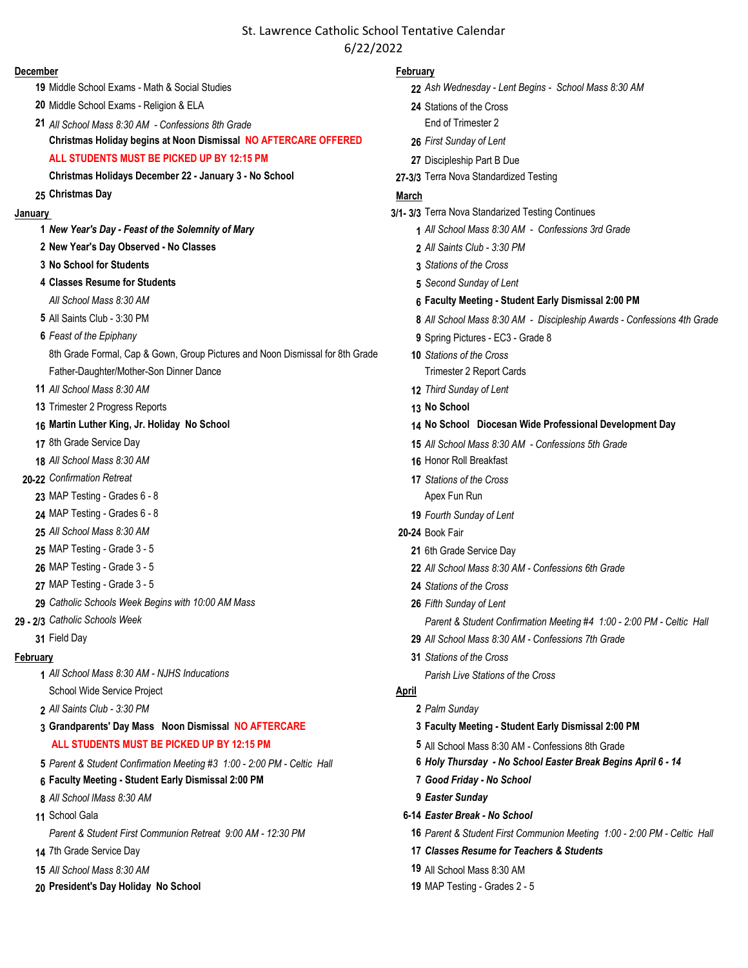# St. Lawrence Catholic School Tentative Calendar 6/22/2022

### **December February**

- 
- Middle School Exams Religion & ELA **24** Stations of the Cross
- *All School Mass 8:30 AM Confessions 8th Grade* End of Trimester 2
- **Christmas Holiday begins at Noon Dismissal NO AFTERCARE OFFERED 26** *First Sunday of Lent*
- **ALL STUDENTS MUST BE PICKED UP BY 12:15 PM 27** Discipleship Part B Due
- **Christmas Holidays December 22 January 3 No School 27-3/3** Terra Nova Standardized Testing

- 
- **New Year's Day Observed No Classes 2** *All Saints Club 3:30 PM*
- **No School for Students 3** *Stations of the Cross*
- **Classes Resume for Students 5** *Second Sunday of Lent*
- 
- 
- - 8th Grade Formal, Cap & Gown, Group Pictures and Noon Dismissal for 8th Grade **10** *Stations of the Cross*
	- Father-Daughter/Mother-Son Dinner Dance Trimester 2 Report Cards
- *All School Mass 8:30 AM* **12** *Third Sunday of Lent*
- Trimester 2 Progress Reports **13 No School**
- 
- 
- *All School Mass 8:30 AM* **16** Honor Roll Breakfast
- **20-22** *Confirmation Retreat* **17** *Stations of the Cross*
	- MAP Testing Grades 6 8 Apex Fun Run
	- MAP Testing Grades 6 8 **19** *Fourth Sunday of Lent*
	- *All School Mass 8:30 AM* **20-24** Book Fair
	- MAP Testing Grade 3 5 **21** 6th Grade Service Day
	-
	- MAP Testing Grade 3 5 **24** *Stations of the Cross*
	- *Catholic Schools Week Begins with 10:00 AM Mass* **26** *Fifth Sunday of Lent*
- -

- *All School Mass 8:30 AM NJHS Inducations Parish Live Stations of the Cross* School Wide Service Project **April** 3. April
- *All Saints Club 3:30 PM* **2** *Palm Sunday*
- **Grandparents' Day Mass Noon Dismissal NO AFTERCARE 3 Faculty Meeting Student Early Dismissal 2:00 PM ALL STUDENTS MUST BE PICKED UP BY 12:15 PM 5** All School Mass 8:30 AM - Confessions 8th Grade
- *Parent & Student Confirmation Meeting #3 1:00 2:00 PM Celtic Hall* **6** *Holy Thursday No School Easter Break Begins April 6 14*
- **Faculty Meeting Student Early Dismissal 2:00 PM 7** *Good Friday No School*
- *All School lMass 8:30 AM* **9** *Easter Sunday*
- -
- 
- *All School Mass 8:30 AM* **19** All School Mass 8:30 AM
- **President's Day Holiday No School 19** MAP Testing Grades 2 5

- Middle School Exams Math & Social Studies **22** *Ash Wednesday Lent Begins School Mass 8:30 AM*
	-
	-
	-
	-

# **Christmas Day March**

- **January 3/1- 3/3** Terra Nova Standarized Testing Continues
	- *New Year's Day Feast of the Solemnity of Mary* **1** *All School Mass 8:30 AM Confessions 3rd Grade*
		-
		-
		-
		- *All School Mass 8:30 AM* **6 Faculty Meeting Student Early Dismissal 2:00 PM**
	- All Saints Club 3:30 PM **8** *All School Mass 8:30 AM Discipleship Awards Confessions 4th Grade*
	- *Feast of the Epiphany* **9** Spring Pictures EC3 Grade 8
		-
		-
		-
	- **Martin Luther King, Jr. Holiday No School 14 No School Diocesan Wide Professional Development Day**
	- 8th Grade Service Day **15** *All School Mass 8:30 AM Confessions 5th Grade*
		-
		-
		-
		- -
	- MAP Testing Grade 3 5 **22** *All School Mass 8:30 AM Confessions 6th Grade*
		-
		-
- **29 2/3** *Catholic Schools Week Parent & Student Confirmation Meeting #4 1:00 2:00 PM Celtic Hall*
	- Field Day **29** *All School Mass 8:30 AM Confessions 7th Grade*
- **February 31** *Stations of the Cross*
	-

- 
- 
- 
- 
- 
- 
- School Gala **6-14** *Easter Break No School*
	- *Parent & Student First Communion Retreat 9:00 AM 12:30 PM* **16** *Parent & Student First Communion Meeting 1:00 2:00 PM Celtic Hall*
- 7th Grade Service Day **17** *Classes Resume for Teachers & Students*
	-
	-